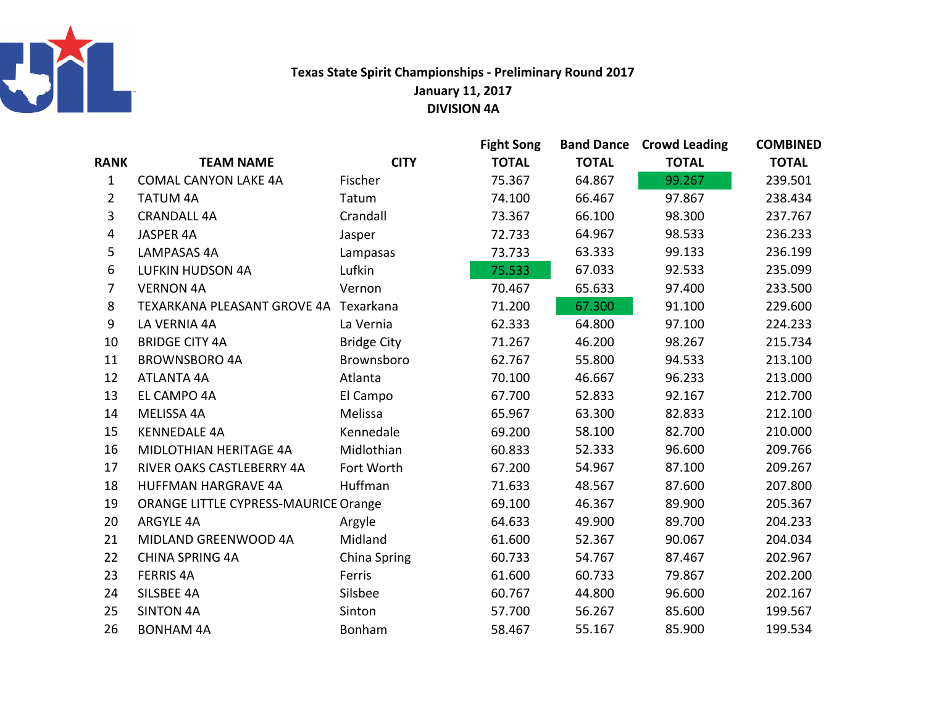

## Texas State Spirit Championships - Preliminary Round 2017January 11, 2017DIVISION 4A

|                |                                       |                    | <b>Fight Song</b> | <b>Band Dance</b> | <b>Crowd Leading</b> | <b>COMBINED</b> |
|----------------|---------------------------------------|--------------------|-------------------|-------------------|----------------------|-----------------|
| <b>RANK</b>    | <b>TEAM NAME</b>                      | <b>CITY</b>        | <b>TOTAL</b>      | <b>TOTAL</b>      | <b>TOTAL</b>         | <b>TOTAL</b>    |
| $\mathbf{1}$   | <b>COMAL CANYON LAKE 4A</b>           | Fischer            | 75.367            | 64.867            | 99.267               | 239.501         |
| $\overline{2}$ | <b>TATUM 4A</b>                       | Tatum              | 74.100            | 66.467            | 97.867               | 238.434         |
| $\overline{3}$ | <b>CRANDALL 4A</b>                    | Crandall           | 73.367            | 66.100            | 98.300               | 237.767         |
| 4              | <b>JASPER 4A</b>                      | Jasper             | 72.733            | 64.967            | 98.533               | 236.233         |
| 5              | <b>LAMPASAS 4A</b>                    | Lampasas           | 73.733            | 63.333            | 99.133               | 236.199         |
| 6              | <b>LUFKIN HUDSON 4A</b>               | Lufkin             | 75.533            | 67.033            | 92.533               | 235.099         |
| $\overline{7}$ | <b>VERNON 4A</b>                      | Vernon             | 70.467            | 65.633            | 97.400               | 233.500         |
| 8              | TEXARKANA PLEASANT GROVE 4A Texarkana |                    | 71.200            | 67.300            | 91.100               | 229.600         |
| 9              | LA VERNIA 4A                          | La Vernia          | 62.333            | 64.800            | 97.100               | 224.233         |
| 10             | <b>BRIDGE CITY 4A</b>                 | <b>Bridge City</b> | 71.267            | 46.200            | 98.267               | 215.734         |
| 11             | <b>BROWNSBORO 4A</b>                  | Brownsboro         | 62.767            | 55.800            | 94.533               | 213.100         |
| 12             | <b>ATLANTA 4A</b>                     | Atlanta            | 70.100            | 46.667            | 96.233               | 213.000         |
| 13             | EL CAMPO 4A                           | El Campo           | 67.700            | 52.833            | 92.167               | 212.700         |
| 14             | MELISSA 4A                            | Melissa            | 65.967            | 63.300            | 82.833               | 212.100         |
| 15             | <b>KENNEDALE 4A</b>                   | Kennedale          | 69.200            | 58.100            | 82.700               | 210.000         |
| 16             | MIDLOTHIAN HERITAGE 4A                | Midlothian         | 60.833            | 52.333            | 96.600               | 209.766         |
| 17             | RIVER OAKS CASTLEBERRY 4A             | Fort Worth         | 67.200            | 54.967            | 87.100               | 209.267         |
| 18             | <b>HUFFMAN HARGRAVE 4A</b>            | Huffman            | 71.633            | 48.567            | 87.600               | 207.800         |
| 19             | ORANGE LITTLE CYPRESS-MAURICE Orange  |                    | 69.100            | 46.367            | 89.900               | 205.367         |
| 20             | <b>ARGYLE 4A</b>                      | Argyle             | 64.633            | 49.900            | 89.700               | 204.233         |
| 21             | MIDLAND GREENWOOD 4A                  | Midland            | 61.600            | 52.367            | 90.067               | 204.034         |
| 22             | <b>CHINA SPRING 4A</b>                | China Spring       | 60.733            | 54.767            | 87.467               | 202.967         |
| 23             | <b>FERRIS 4A</b>                      | Ferris             | 61.600            | 60.733            | 79.867               | 202.200         |
| 24             | SILSBEE 4A                            | Silsbee            | 60.767            | 44.800            | 96.600               | 202.167         |
| 25             | <b>SINTON 4A</b>                      | Sinton             | 57.700            | 56.267            | 85.600               | 199.567         |
| 26             | <b>BONHAM 4A</b>                      | Bonham             | 58.467            | 55.167            | 85.900               | 199.534         |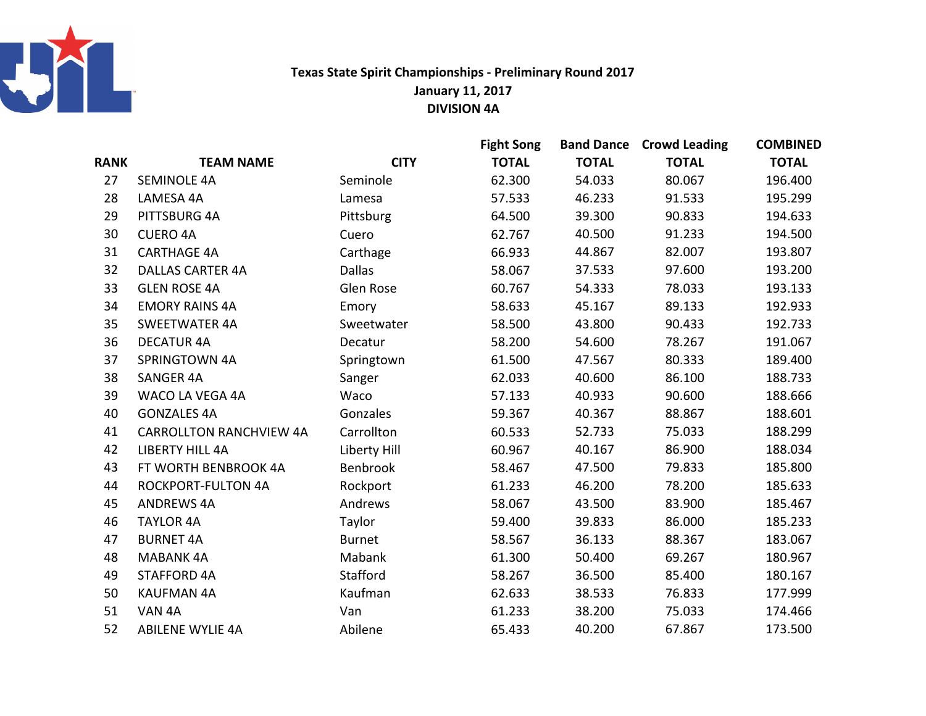

## Texas State Spirit Championships - Preliminary Round 2017January 11, 2017DIVISION 4A

|             |                                |               | <b>Fight Song</b> |              | <b>Band Dance Crowd Leading</b> | <b>COMBINED</b> |
|-------------|--------------------------------|---------------|-------------------|--------------|---------------------------------|-----------------|
| <b>RANK</b> | <b>TEAM NAME</b>               | <b>CITY</b>   | <b>TOTAL</b>      | <b>TOTAL</b> | <b>TOTAL</b>                    | <b>TOTAL</b>    |
| 27          | <b>SEMINOLE 4A</b>             | Seminole      | 62.300            | 54.033       | 80.067                          | 196.400         |
| 28          | LAMESA 4A                      | Lamesa        | 57.533            | 46.233       | 91.533                          | 195.299         |
| 29          | PITTSBURG 4A                   | Pittsburg     | 64.500            | 39.300       | 90.833                          | 194.633         |
| 30          | <b>CUERO 4A</b>                | Cuero         | 62.767            | 40.500       | 91.233                          | 194.500         |
| 31          | <b>CARTHAGE 4A</b>             | Carthage      | 66.933            | 44.867       | 82.007                          | 193.807         |
| 32          | <b>DALLAS CARTER 4A</b>        | <b>Dallas</b> | 58.067            | 37.533       | 97.600                          | 193.200         |
| 33          | <b>GLEN ROSE 4A</b>            | Glen Rose     | 60.767            | 54.333       | 78.033                          | 193.133         |
| 34          | <b>EMORY RAINS 4A</b>          | Emory         | 58.633            | 45.167       | 89.133                          | 192.933         |
| 35          | <b>SWEETWATER 4A</b>           | Sweetwater    | 58.500            | 43.800       | 90.433                          | 192.733         |
| 36          | <b>DECATUR 4A</b>              | Decatur       | 58.200            | 54.600       | 78.267                          | 191.067         |
| 37          | SPRINGTOWN 4A                  | Springtown    | 61.500            | 47.567       | 80.333                          | 189.400         |
| 38          | <b>SANGER 4A</b>               | Sanger        | 62.033            | 40.600       | 86.100                          | 188.733         |
| 39          | WACO LA VEGA 4A                | Waco          | 57.133            | 40.933       | 90.600                          | 188.666         |
| 40          | <b>GONZALES 4A</b>             | Gonzales      | 59.367            | 40.367       | 88.867                          | 188.601         |
| 41          | <b>CARROLLTON RANCHVIEW 4A</b> | Carrollton    | 60.533            | 52.733       | 75.033                          | 188.299         |
| 42          | <b>LIBERTY HILL 4A</b>         | Liberty Hill  | 60.967            | 40.167       | 86.900                          | 188.034         |
| 43          | FT WORTH BENBROOK 4A           | Benbrook      | 58.467            | 47.500       | 79.833                          | 185.800         |
| 44          | <b>ROCKPORT-FULTON 4A</b>      | Rockport      | 61.233            | 46.200       | 78.200                          | 185.633         |
| 45          | <b>ANDREWS 4A</b>              | Andrews       | 58.067            | 43.500       | 83.900                          | 185.467         |
| 46          | <b>TAYLOR 4A</b>               | Taylor        | 59.400            | 39.833       | 86.000                          | 185.233         |
| 47          | <b>BURNET 4A</b>               | <b>Burnet</b> | 58.567            | 36.133       | 88.367                          | 183.067         |
| 48          | <b>MABANK 4A</b>               | Mabank        | 61.300            | 50.400       | 69.267                          | 180.967         |
| 49          | <b>STAFFORD 4A</b>             | Stafford      | 58.267            | 36.500       | 85.400                          | 180.167         |
| 50          | <b>KAUFMAN 4A</b>              | Kaufman       | 62.633            | 38.533       | 76.833                          | 177.999         |
| 51          | VAN 4A                         | Van           | 61.233            | 38.200       | 75.033                          | 174.466         |
| 52          | <b>ABILENE WYLIE 4A</b>        | Abilene       | 65.433            | 40.200       | 67.867                          | 173.500         |
|             |                                |               |                   |              |                                 |                 |